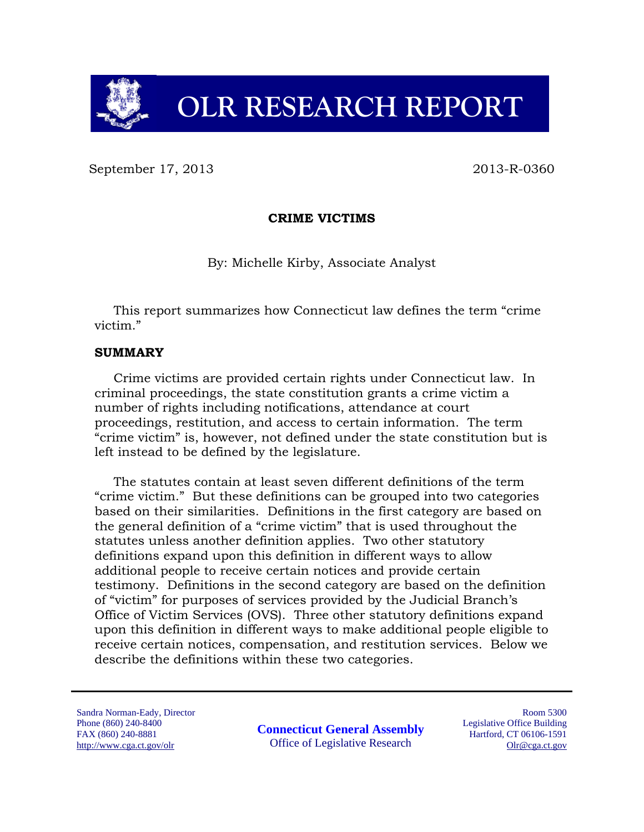

# **OLR RESEARCH REPORT**

September 17, 2013 2013 2013

#### **CRIME VICTIMS**

By: Michelle Kirby, Associate Analyst

This report summarizes how Connecticut law defines the term "crime victim."

#### **SUMMARY**

Crime victims are provided certain rights under Connecticut law. In criminal proceedings, the state constitution grants a crime victim a number of rights including notifications, attendance at court proceedings, restitution, and access to certain information. The term "crime victim" is, however, not defined under the state constitution but is left instead to be defined by the legislature.

The statutes contain at least seven different definitions of the term "crime victim." But these definitions can be grouped into two categories based on their similarities. Definitions in the first category are based on the general definition of a "crime victim" that is used throughout the statutes unless another definition applies. Two other statutory definitions expand upon this definition in different ways to allow additional people to receive certain notices and provide certain testimony. Definitions in the second category are based on the definition of "victim" for purposes of services provided by the Judicial Branch's Office of Victim Services (OVS). Three other statutory definitions expand upon this definition in different ways to make additional people eligible to receive certain notices, compensation, and restitution services. Below we describe the definitions within these two categories.

Sandra Norman-Eady, Director Phone (860) 240-8400 FAX (860) 240-8881 http://www.cga.ct.gov/olr

**Connecticut General Assembly** Office of Legislative Research

Room 5300 Legislative Office Building Hartford, CT 06106-1591 Olr@cga.ct.gov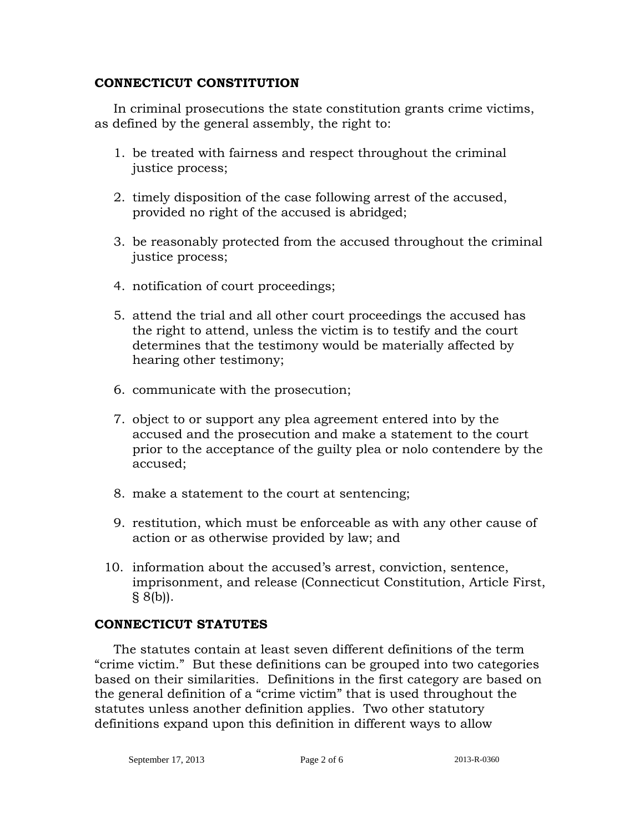#### **CONNECTICUT CONSTITUTION**

In criminal prosecutions the state constitution grants crime victims, as defined by the general assembly, the right to:

- 1. be treated with fairness and respect throughout the criminal justice process;
- 2. timely disposition of the case following arrest of the accused, provided no right of the accused is abridged;
- 3. be reasonably protected from the accused throughout the criminal justice process;
- 4. notification of court proceedings;
- 5. attend the trial and all other court proceedings the accused has the right to attend, unless the victim is to testify and the court determines that the testimony would be materially affected by hearing other testimony;
- 6. communicate with the prosecution;
- 7. object to or support any plea agreement entered into by the accused and the prosecution and make a statement to the court prior to the acceptance of the guilty plea or nolo contendere by the accused;
- 8. make a statement to the court at sentencing;
- 9. restitution, which must be enforceable as with any other cause of action or as otherwise provided by law; and
- 10. information about the accused's arrest, conviction, sentence, imprisonment, and release (Connecticut Constitution, Article First,  $§ 8(b)$ .

#### **CONNECTICUT STATUTES**

The statutes contain at least seven different definitions of the term "crime victim." But these definitions can be grouped into two categories based on their similarities. Definitions in the first category are based on the general definition of a "crime victim" that is used throughout the statutes unless another definition applies. Two other statutory definitions expand upon this definition in different ways to allow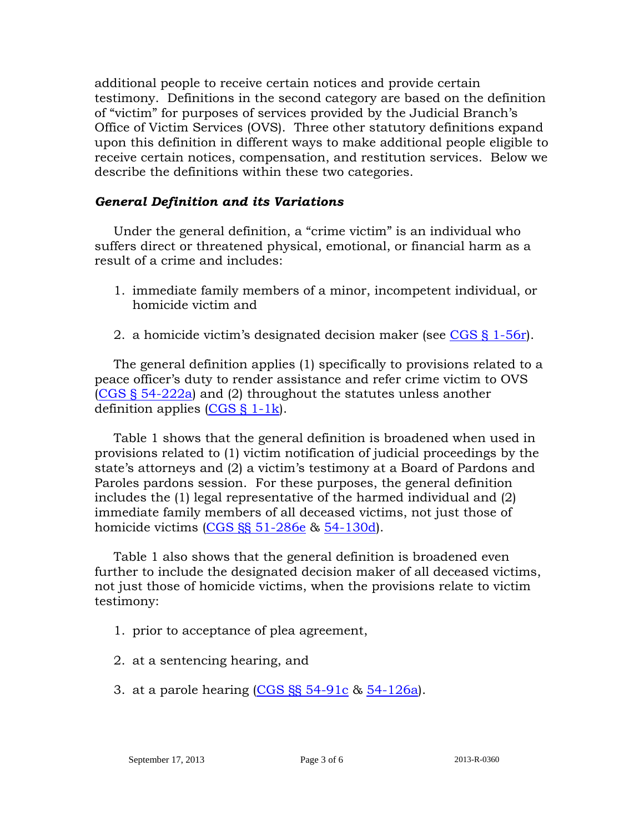additional people to receive certain notices and provide certain testimony. Definitions in the second category are based on the definition of "victim" for purposes of services provided by the Judicial Branch's Office of Victim Services (OVS). Three other statutory definitions expand upon this definition in different ways to make additional people eligible to receive certain notices, compensation, and restitution services. Below we describe the definitions within these two categories.

### *General Definition and its Variations*

Under the general definition, a "crime victim" is an individual who suffers direct or threatened physical, emotional, or financial harm as a result of a crime and includes:

- 1. immediate family members of a minor, incompetent individual, or homicide victim and
- 2. a homicide victim's designated decision maker (see [CGS § 1-56r\)](http://cga.ct.gov/current/pub/chap_007c.htm#sec_1-56r).

The general definition applies (1) specifically to provisions related to a peace officer's duty to render assistance and refer crime victim to OVS [\(CGS § 54-222a\)](http://cga.ct.gov/current/pub/chap_968.htm#sec_54-222a) and (2) throughout the statutes unless another definition applies [\(CGS § 1-1k\)](http://cga.ct.gov/current/pub/chap_001.htm#sec_1-1k).

Table 1 shows that the general definition is broadened when used in provisions related to (1) victim notification of judicial proceedings by the state's attorneys and (2) a victim's testimony at a Board of Pardons and Paroles pardons session. For these purposes, the general definition includes the (1) legal representative of the harmed individual and (2) immediate family members of all deceased victims, not just those of homicide victims [\(CGS §§ 51-286e](http://cga.ct.gov/current/pub/chap_886.htm#sec_51-286e) & [54-130d\)](http://cga.ct.gov/current/pub/chap_961.htm#sec_54-130d).

Table 1 also shows that the general definition is broadened even further to include the designated decision maker of all deceased victims, not just those of homicide victims, when the provisions relate to victim testimony:

- 1. prior to acceptance of plea agreement,
- 2. at a sentencing hearing, and
- 3. at a parole hearing  $(CGS SSS 54-91c 8s 54-126a)$  $(CGS SSS 54-91c 8s 54-126a)$ .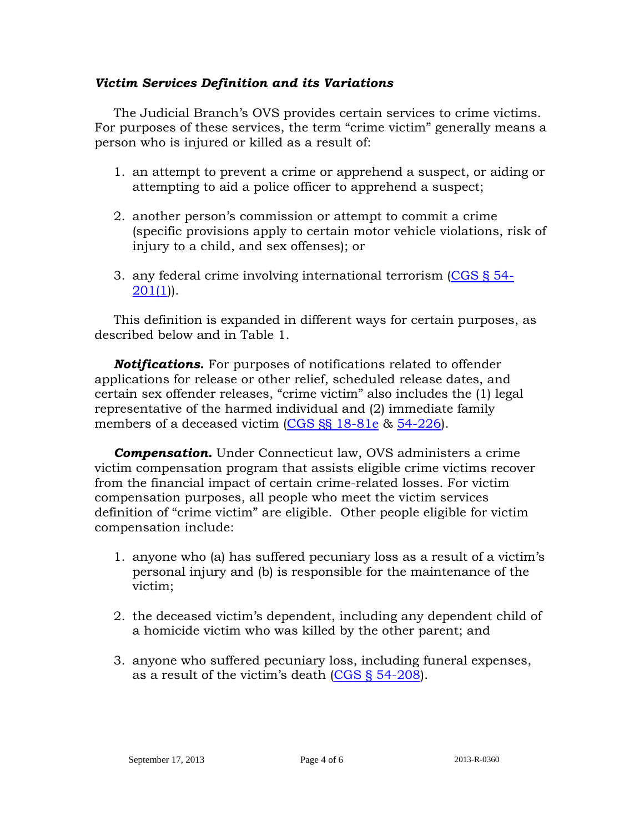#### *Victim Services Definition and its Variations*

The Judicial Branch's OVS provides certain services to crime victims. For purposes of these services, the term "crime victim" generally means a person who is injured or killed as a result of:

- 1. an attempt to prevent a crime or apprehend a suspect, or aiding or attempting to aid a police officer to apprehend a suspect;
- 2. another person's commission or attempt to commit a crime (specific provisions apply to certain motor vehicle violations, risk of injury to a child, and sex offenses); or
- 3. any federal crime involving international terrorism [\(CGS § 54-](http://cga.ct.gov/current/pub/chap_968.htm#sec_54-201) [201\(1\)](http://cga.ct.gov/current/pub/chap_968.htm#sec_54-201)).

This definition is expanded in different ways for certain purposes, as described below and in Table 1.

*Notifications.* For purposes of notifications related to offender applications for release or other relief, scheduled release dates, and certain sex offender releases, "crime victim" also includes the (1) legal representative of the harmed individual and (2) immediate family members of a deceased victim [\(CGS §§ 18-81e](http://cga.ct.gov/current/pub/chap_325.htm#sec_18-81e) & [54-226\)](http://cga.ct.gov/current/pub/chap_968.htm#sec_54-226).

**Compensation.** Under Connecticut law, OVS administers a crime victim compensation program that assists eligible crime victims recover from the financial impact of certain crime-related losses. For victim compensation purposes, all people who meet the victim services definition of "crime victim" are eligible. Other people eligible for victim compensation include:

- 1. anyone who (a) has suffered pecuniary loss as a result of a victim's personal injury and (b) is responsible for the maintenance of the victim;
- 2. the deceased victim's dependent, including any dependent child of a homicide victim who was killed by the other parent; and
- 3. anyone who suffered pecuniary loss, including funeral expenses, as a result of the victim's death [\(CGS § 54-208\)](http://cga.ct.gov/current/pub/chap_968.htm#sec_54-208).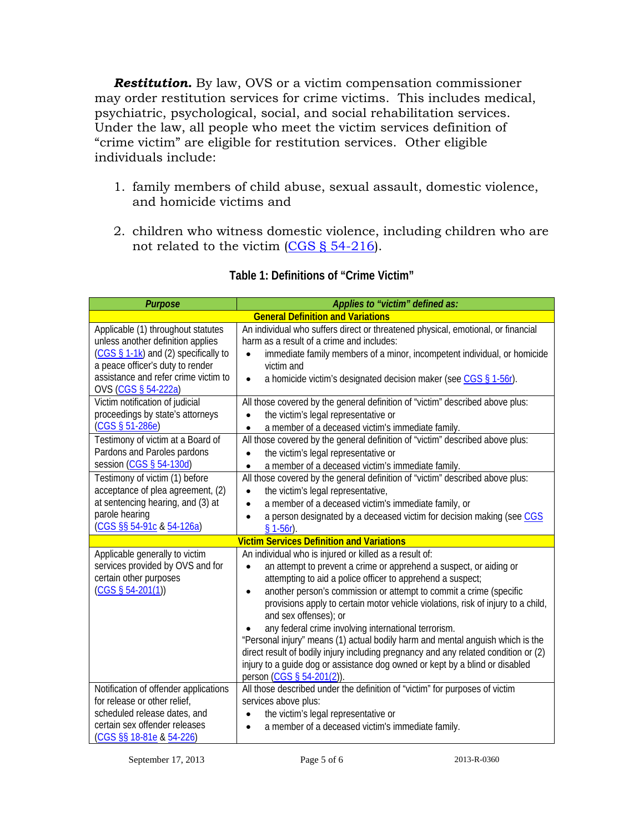*Restitution.* By law, OVS or a victim compensation commissioner may order restitution services for crime victims. This includes medical, psychiatric, psychological, social, and social rehabilitation services. Under the law, all people who meet the victim services definition of "crime victim" are eligible for restitution services. Other eligible individuals include:

- 1. family members of child abuse, sexual assault, domestic violence, and homicide victims and
- 2. children who witness domestic violence, including children who are not related to the victim [\(CGS § 54-216\)](http://cga.ct.gov/current/pub/chap_968.htm#sec_54-216).

| <b>Purpose</b>                                                                              | Applies to "victim" defined as:                                                                                                    |  |
|---------------------------------------------------------------------------------------------|------------------------------------------------------------------------------------------------------------------------------------|--|
| <b>General Definition and Variations</b>                                                    |                                                                                                                                    |  |
| Applicable (1) throughout statutes<br>unless another definition applies                     | An individual who suffers direct or threatened physical, emotional, or financial<br>harm as a result of a crime and includes:      |  |
| $(CGS \S 1-1k)$ and (2) specifically to<br>a peace officer's duty to render                 | immediate family members of a minor, incompetent individual, or homicide<br>victim and                                             |  |
| assistance and refer crime victim to<br>OVS (CGS § 54-222a)                                 | a homicide victim's designated decision maker (see CGS § 1-56r).<br>$\bullet$                                                      |  |
| Victim notification of judicial<br>proceedings by state's attorneys                         | All those covered by the general definition of "victim" described above plus:<br>the victim's legal representative or<br>$\bullet$ |  |
| $(CGS \S 51-286e)$                                                                          | a member of a deceased victim's immediate family.<br>$\bullet$                                                                     |  |
| Testimony of victim at a Board of<br>Pardons and Paroles pardons<br>session (CGS § 54-130d) | All those covered by the general definition of "victim" described above plus:<br>the victim's legal representative or<br>$\bullet$ |  |
| Testimony of victim (1) before                                                              | a member of a deceased victim's immediate family.<br>All those covered by the general definition of "victim" described above plus: |  |
| acceptance of plea agreement, (2)                                                           | the victim's legal representative,<br>$\bullet$                                                                                    |  |
| at sentencing hearing, and (3) at                                                           | a member of a deceased victim's immediate family, or<br>$\bullet$                                                                  |  |
| parole hearing                                                                              | a person designated by a deceased victim for decision making (see CGS<br>$\bullet$                                                 |  |
| (CGS §§ 54-91c & 54-126a)                                                                   | $§ 1-56r$ ).                                                                                                                       |  |
| <b>Victim Services Definition and Variations</b>                                            |                                                                                                                                    |  |
| Applicable generally to victim                                                              | An individual who is injured or killed as a result of:                                                                             |  |
| services provided by OVS and for                                                            | an attempt to prevent a crime or apprehend a suspect, or aiding or<br>$\bullet$                                                    |  |
| certain other purposes                                                                      | attempting to aid a police officer to apprehend a suspect;                                                                         |  |
| $(CGS \S 54-201(1))$                                                                        | another person's commission or attempt to commit a crime (specific<br>$\bullet$                                                    |  |
|                                                                                             | provisions apply to certain motor vehicle violations, risk of injury to a child,<br>and sex offenses); or                          |  |
|                                                                                             | any federal crime involving international terrorism.                                                                               |  |
|                                                                                             | "Personal injury" means (1) actual bodily harm and mental anguish which is the                                                     |  |
|                                                                                             | direct result of bodily injury including pregnancy and any related condition or (2)                                                |  |
|                                                                                             | injury to a guide dog or assistance dog owned or kept by a blind or disabled                                                       |  |
|                                                                                             | person (CGS § 54-201(2)).                                                                                                          |  |
| Notification of offender applications                                                       | All those described under the definition of "victim" for purposes of victim                                                        |  |
| for release or other relief,                                                                | services above plus:                                                                                                               |  |
| scheduled release dates, and                                                                | the victim's legal representative or<br>$\bullet$                                                                                  |  |
| certain sex offender releases                                                               | a member of a deceased victim's immediate family.<br>$\bullet$                                                                     |  |
| (CGS §§ 18-81e & 54-226)                                                                    |                                                                                                                                    |  |

## **Table 1: Definitions of "Crime Victim"**